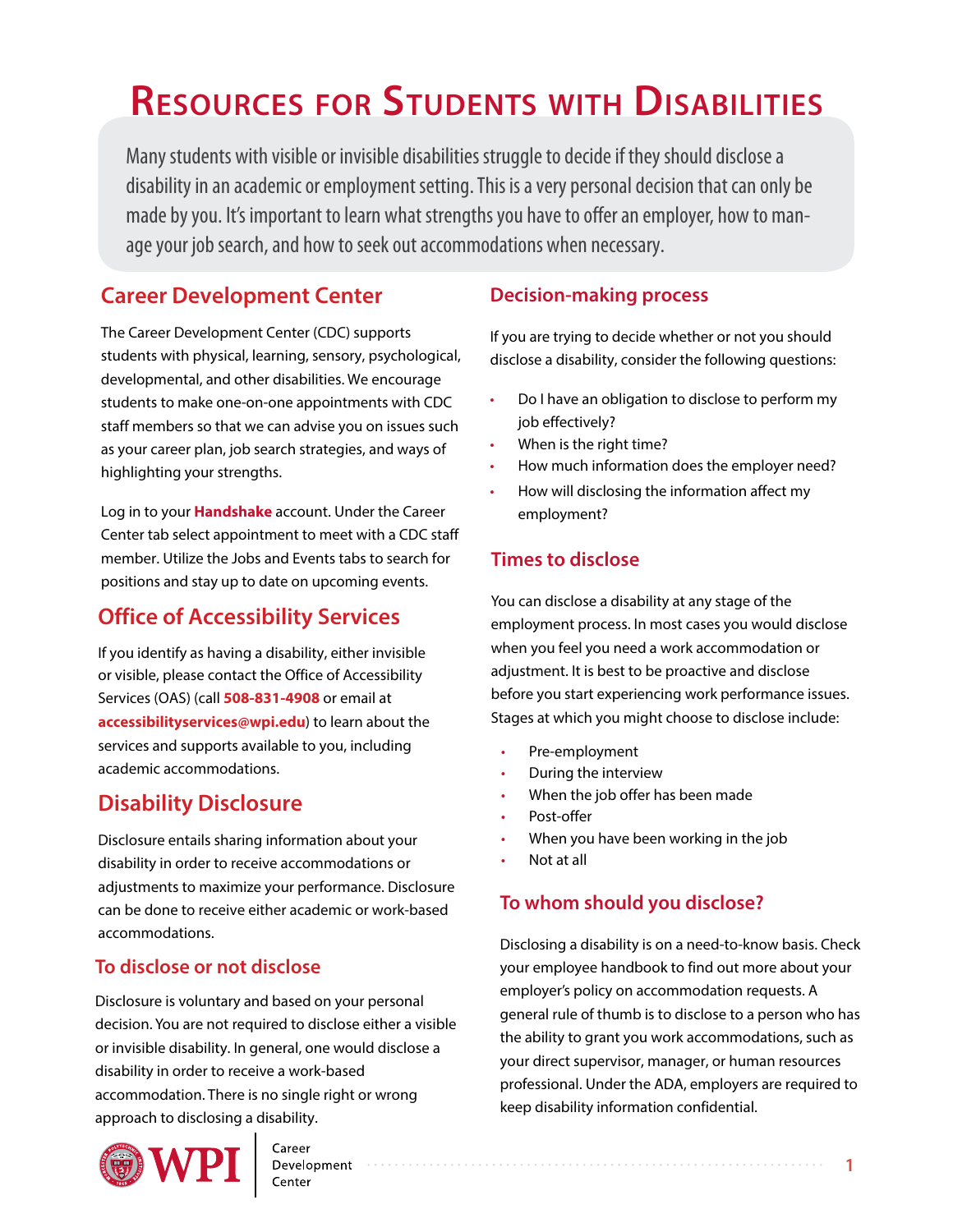# **ResouRces foR students with disabilities**

Many students with visible or invisible disabilities struggle to decide if they should disclose a disability in an academic or employment setting. This is a very personal decision that can only be made by you. It's important to learn what strengths you have to offer an employer, how to manage your job search, and how to seek out accommodations when necessary.

## **Career Development Center**

The Career Development Center (CDC) supports students with physical, learning, sensory, psychological, developmental, and other disabilities. We encourage students to make one-on-one appointments with CDC staff members so that we can advise you on issues such as your career plan, job search strategies, and ways of highlighting your strengths.

Log in to your **[Handshake](wpi.joinhandshake.com)** account. Under the Career Center tab select appointment to meet with a CDC staff member. Utilize the Jobs and Events tabs to search for positions and stay up to date on upcoming events.

## **Office of Accessibility Services**

If you identify as having a disability, either invisible or visible, please contact the Office of Accessibility Services (OAS) (call **508-831-4908** or email at **[accessibilityservices@wpi.edu](mailto:accessibilityservices@wpi.edu)**) to learn about the services and supports available to you, including academic accommodations.

## **Disability Disclosure**

Disclosure entails sharing information about your disability in order to receive accommodations or adjustments to maximize your performance. Disclosure can be done to receive either academic or work-based accommodations.

## **To disclose or not disclose**

Disclosure is voluntary and based on your personal decision. You are not required to disclose either a visible or invisible disability. In general, one would disclose a disability in order to receive a work-based accommodation. There is no single right or wrong approach to disclosing a disability.



Development

## **Decision-making process**

If you are trying to decide whether or not you should disclose a disability, consider the following questions:

- Do I have an obligation to disclose to perform my job effectively?
- When is the right time?
- How much information does the employer need?
- How will disclosing the information affect my employment?

## **Times to disclose**

You can disclose a disability at any stage of the employment process. In most cases you would disclose when you feel you need a work accommodation or adjustment. It is best to be proactive and disclose before you start experiencing work performance issues. Stages at which you might choose to disclose include:

- Pre-employment
- During the interview
- When the job offer has been made
- Post-offer
- When you have been working in the job
- Not at all

## **To whom should you disclose?**

Disclosing a disability is on a need-to-know basis. Check your employee handbook to find out more about your employer's policy on accommodation requests. A general rule of thumb is to disclose to a person who has the ability to grant you work accommodations, such as your direct supervisor, manager, or human resources professional. Under the ADA, employers are required to keep disability information confidential.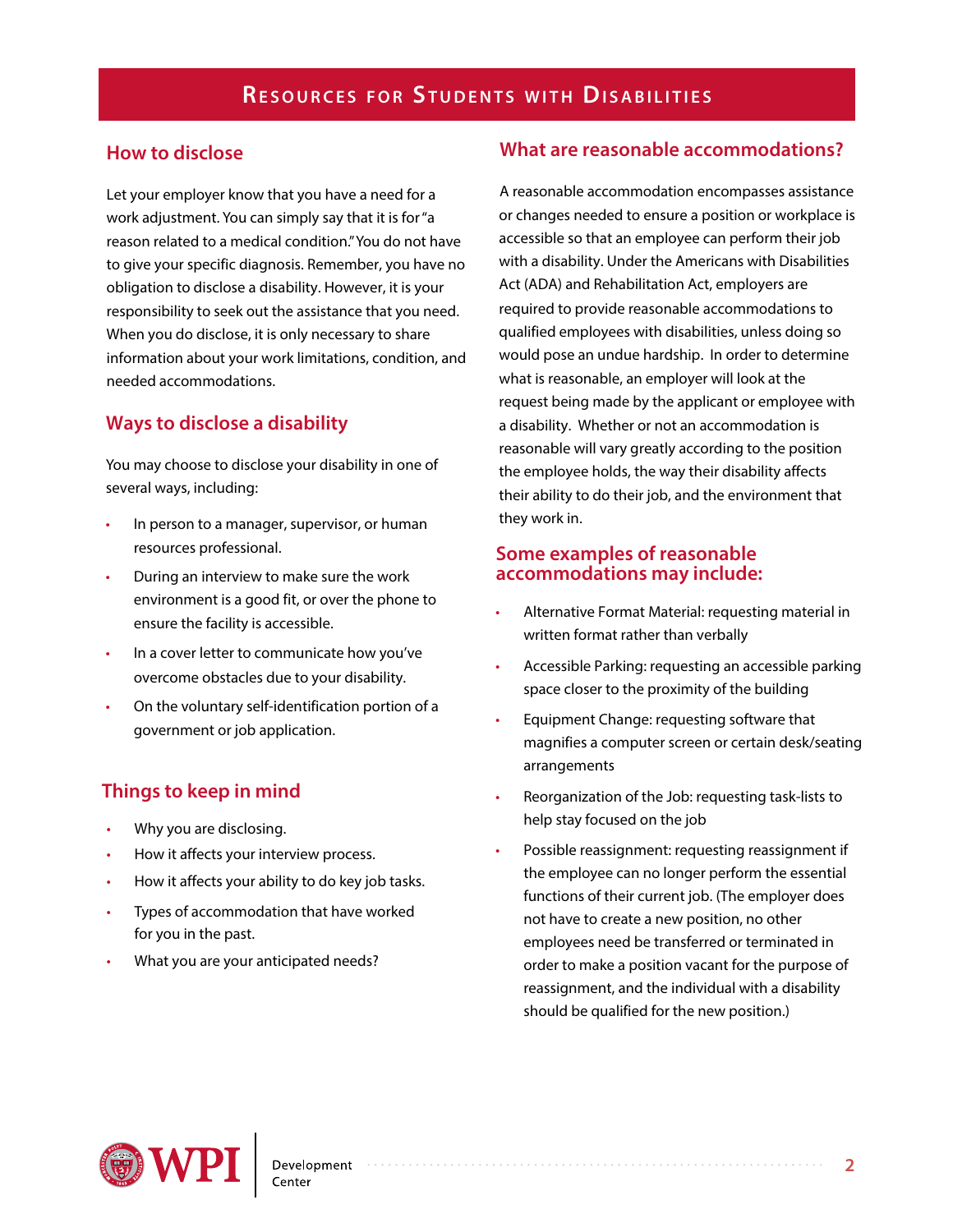#### **How to disclose**

Let your employer know that you have a need for a work adjustment. You can simply say that it is for "a reason related to a medical condition." You do not have to give your specific diagnosis. Remember, you have no obligation to disclose a disability. However, it is your responsibility to seek out the assistance that you need. When you do disclose, it is only necessary to share information about your work limitations, condition, and needed accommodations.

## **Ways to disclose a disability**

You may choose to disclose your disability in one of several ways, including:

- In person to a manager, supervisor, or human resources professional.
- During an interview to make sure the work environment is a good fit, or over the phone to ensure the facility is accessible.
- In a cover letter to communicate how you've overcome obstacles due to your disability.
- On the voluntary self-identification portion of a government or job application.

## **Things to keep in mind**

- Why you are disclosing.
- How it affects your interview process.
- How it affects your ability to do key job tasks.
- Types of accommodation that have worked for you in the past.
- What you are your anticipated needs?

#### **What are reasonable accommodations?**

A reasonable accommodation encompasses assistance or changes needed to ensure a position or workplace is accessible so that an employee can perform their job with a disability. Under the Americans with Disabilities Act (ADA) and Rehabilitation Act, employers are required to provide reasonable accommodations to qualified employees with disabilities, unless doing so would pose an undue hardship. In order to determine what is reasonable, an employer will look at the request being made by the applicant or employee with a disability. Whether or not an accommodation is reasonable will vary greatly according to the position the employee holds, the way their disability affects their ability to do their job, and the environment that they work in.

#### **Some examples of reasonable accommodations may include:**

- Alternative Format Material: requesting material in written format rather than verbally
- Accessible Parking: requesting an accessible parking space closer to the proximity of the building
- Equipment Change: requesting software that magnifies a computer screen or certain desk/seating arrangements
- Reorganization of the Job: requesting task-lists to help stay focused on the job
- Possible reassignment: requesting reassignment if the employee can no longer perform the essential functions of their current job. (The employer does not have to create a new position, no other employees need be transferred or terminated in order to make a position vacant for the purpose of reassignment, and the individual with a disability should be qualified for the new position.)

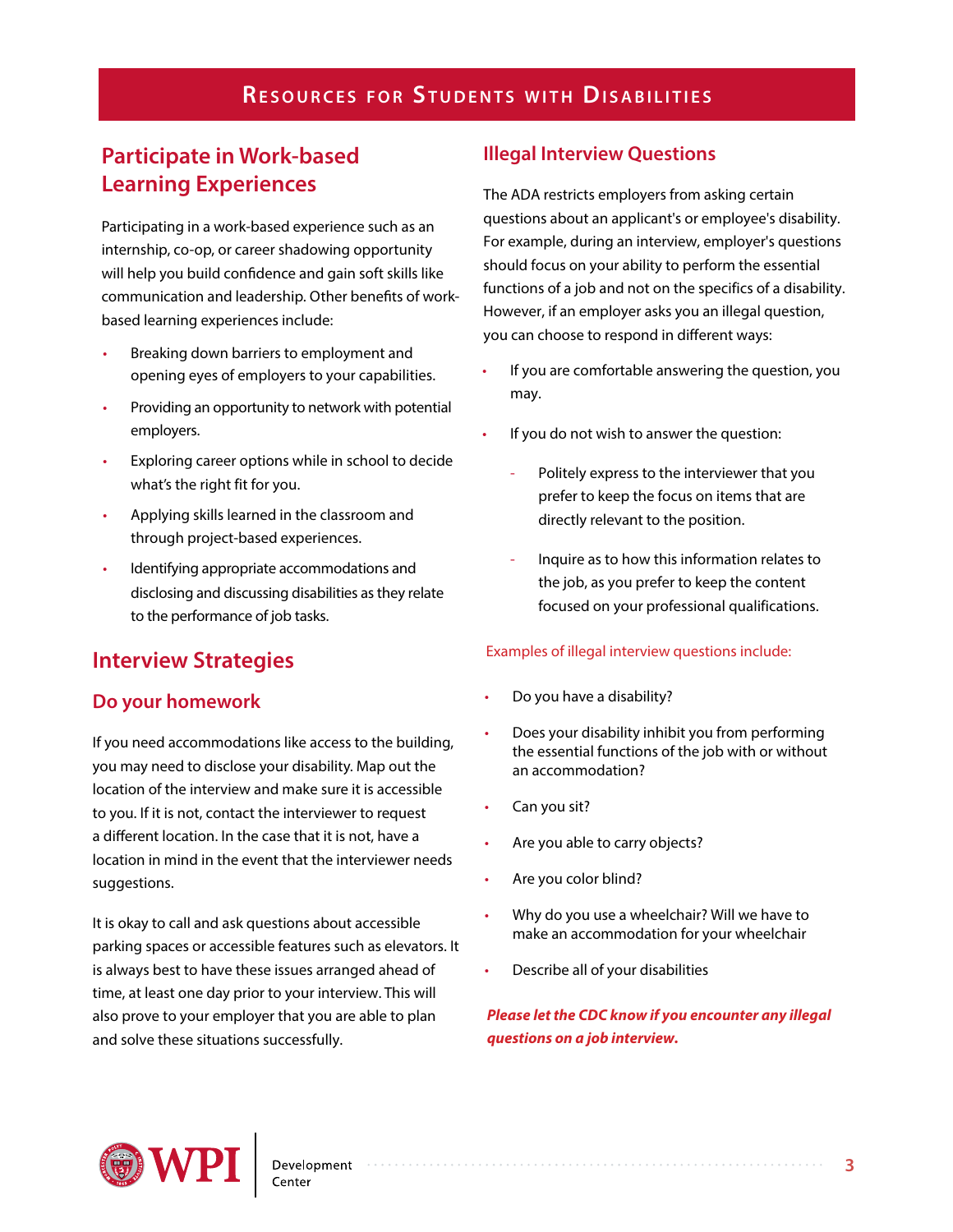## **RESOURCES FOR STUDENTS WITH DISABILITIES**

## **Participate in Work-based Learning Experiences**

Participating in a work-based experience such as an internship, co-op, or career shadowing opportunity will help you build confidence and gain soft skills like communication and leadership. Other benefits of workbased learning experiences include:

- Breaking down barriers to employment and opening eyes of employers to your capabilities.
- Providing an opportunity to network with potential employers.
- Exploring career options while in school to decide what's the right fit for you.
- Applying skills learned in the classroom and through project-based experiences.
- Identifying appropriate accommodations and disclosing and discussing disabilities as they relate to the performance of job tasks.

## **Interview Strategies**

#### **Do your homework**

If you need accommodations like access to the building, you may need to disclose your disability. Map out the location of the interview and make sure it is accessible to you. If it is not, contact the interviewer to request a different location. In the case that it is not, have a location in mind in the event that the interviewer needs suggestions.

It is okay to call and ask questions about accessible parking spaces or accessible features such as elevators. It is always best to have these issues arranged ahead of time, at least one day prior to your interview. This will also prove to your employer that you are able to plan and solve these situations successfully.

#### **Illegal Interview Questions**

The ADA restricts employers from asking certain questions about an applicant's or employee's disability. For example, during an interview, employer's questions should focus on your ability to perform the essential functions of a job and not on the specifics of a disability. However, if an employer asks you an illegal question, you can choose to respond in different ways:

- If you are comfortable answering the question, you may.
- If you do not wish to answer the question:
	- Politely express to the interviewer that you prefer to keep the focus on items that are directly relevant to the position.
	- Inquire as to how this information relates to the job, as you prefer to keep the content focused on your professional qualifications.

#### Examples of illegal interview questions include:

- Do you have a disability?
- Does your disability inhibit you from performing the essential functions of the job with or without an accommodation?
- Can you sit?
- Are you able to carry objects?
- Are you color blind?
- Why do you use a wheelchair? Will we have to make an accommodation for your wheelchair
- Describe all of your disabilities

**Please let the CDC know if you encounter any illegal questions on a job interview.**